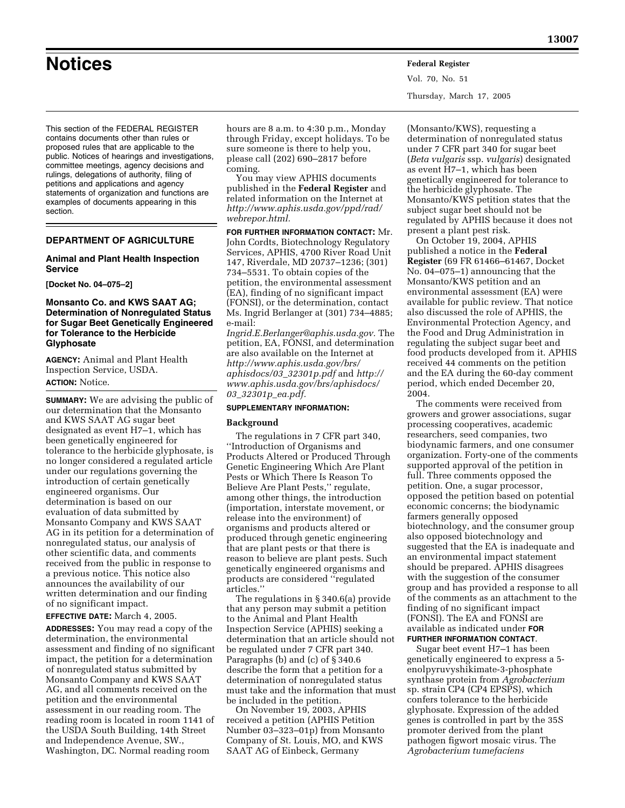This section of the FEDERAL REGISTER contains documents other than rules or proposed rules that are applicable to the public. Notices of hearings and investigations, committee meetings, agency decisions and rulings, delegations of authority, filing of petitions and applications and agency statements of organization and functions are examples of documents appearing in this section.

## **DEPARTMENT OF AGRICULTURE**

## **Animal and Plant Health Inspection Service**

**[Docket No. 04–075–2]** 

## **Monsanto Co. and KWS SAAT AG; Determination of Nonregulated Status for Sugar Beet Genetically Engineered for Tolerance to the Herbicide Glyphosate**

**AGENCY:** Animal and Plant Health Inspection Service, USDA. **ACTION:** Notice.

**SUMMARY:** We are advising the public of our determination that the Monsanto and KWS SAAT AG sugar beet designated as event H7–1, which has been genetically engineered for tolerance to the herbicide glyphosate, is no longer considered a regulated article under our regulations governing the introduction of certain genetically engineered organisms. Our determination is based on our evaluation of data submitted by Monsanto Company and KWS SAAT AG in its petition for a determination of nonregulated status, our analysis of other scientific data, and comments received from the public in response to a previous notice. This notice also announces the availability of our written determination and our finding of no significant impact.

**EFFECTIVE DATE:** March 4, 2005.

**ADDRESSES:** You may read a copy of the determination, the environmental assessment and finding of no significant impact, the petition for a determination of nonregulated status submitted by Monsanto Company and KWS SAAT AG, and all comments received on the petition and the environmental assessment in our reading room. The reading room is located in room 1141 of the USDA South Building, 14th Street and Independence Avenue, SW., Washington, DC. Normal reading room

hours are 8 a.m. to 4:30 p.m., Monday through Friday, except holidays. To be sure someone is there to help you, please call (202) 690–2817 before coming.

You may view APHIS documents published in the **Federal Register** and related information on the Internet at *http://www.aphis.usda.gov/ppd/rad/ webrepor.html.*

**FOR FURTHER INFORMATION CONTACT:** Mr. John Cordts, Biotechnology Regulatory Services, APHIS, 4700 River Road Unit 147, Riverdale, MD 20737–1236; (301) 734–5531. To obtain copies of the petition, the environmental assessment (EA), finding of no significant impact (FONSI), or the determination, contact Ms. Ingrid Berlanger at (301) 734–4885; e-mail:

*Ingrid.E.Berlanger@aphis.usda.gov.* The petition, EA, FONSI, and determination are also available on the Internet at *http://www.aphis.usda.gov/brs/ aphisdocs/03*\_*32301p.pdf* and *http:// www.aphis.usda.gov/brs/aphisdocs/ 03*\_*32301p*\_*ea.pdf.*

## **SUPPLEMENTARY INFORMATION:**

#### **Background**

The regulations in 7 CFR part 340, ''Introduction of Organisms and Products Altered or Produced Through Genetic Engineering Which Are Plant Pests or Which There Is Reason To Believe Are Plant Pests,'' regulate, among other things, the introduction (importation, interstate movement, or release into the environment) of organisms and products altered or produced through genetic engineering that are plant pests or that there is reason to believe are plant pests. Such genetically engineered organisms and products are considered ''regulated articles.''

The regulations in § 340.6(a) provide that any person may submit a petition to the Animal and Plant Health Inspection Service (APHIS) seeking a determination that an article should not be regulated under 7 CFR part 340. Paragraphs (b) and (c) of § 340.6 describe the form that a petition for a determination of nonregulated status must take and the information that must be included in the petition.

On November 19, 2003, APHIS received a petition (APHIS Petition Number 03–323–01p) from Monsanto Company of St. Louis, MO, and KWS SAAT AG of Einbeck, Germany

(Monsanto/KWS), requesting a determination of nonregulated status under 7 CFR part 340 for sugar beet (*Beta vulgaris* ssp. *vulgaris*) designated as event H7–1, which has been genetically engineered for tolerance to the herbicide glyphosate. The Monsanto/KWS petition states that the subject sugar beet should not be regulated by APHIS because it does not present a plant pest risk.

On October 19, 2004, APHIS published a notice in the **Federal Register** (69 FR 61466–61467, Docket No. 04–075–1) announcing that the Monsanto/KWS petition and an environmental assessment (EA) were available for public review. That notice also discussed the role of APHIS, the Environmental Protection Agency, and the Food and Drug Administration in regulating the subject sugar beet and food products developed from it. APHIS received 44 comments on the petition and the EA during the 60-day comment period, which ended December 20, 2004.

The comments were received from growers and grower associations, sugar processing cooperatives, academic researchers, seed companies, two biodynamic farmers, and one consumer organization. Forty-one of the comments supported approval of the petition in full. Three comments opposed the petition. One, a sugar processor, opposed the petition based on potential economic concerns; the biodynamic farmers generally opposed biotechnology, and the consumer group also opposed biotechnology and suggested that the EA is inadequate and an environmental impact statement should be prepared. APHIS disagrees with the suggestion of the consumer group and has provided a response to all of the comments as an attachment to the finding of no significant impact (FONSI). The EA and FONSI are available as indicated under **FOR FURTHER INFORMATION CONTACT**.

Sugar beet event H7–1 has been genetically engineered to express a 5 enolpyruvyshikimate-3-phosphate synthase protein from *Agrobacterium* sp. strain CP4 (CP4 EPSPS), which confers tolerance to the herbicide glyphosate. Expression of the added genes is controlled in part by the 35S promoter derived from the plant pathogen figwort mosaic virus. The *Agrobacterium tumefaciens*

Vol. 70, No. 51 Thursday, March 17, 2005

# **Notices Federal Register**